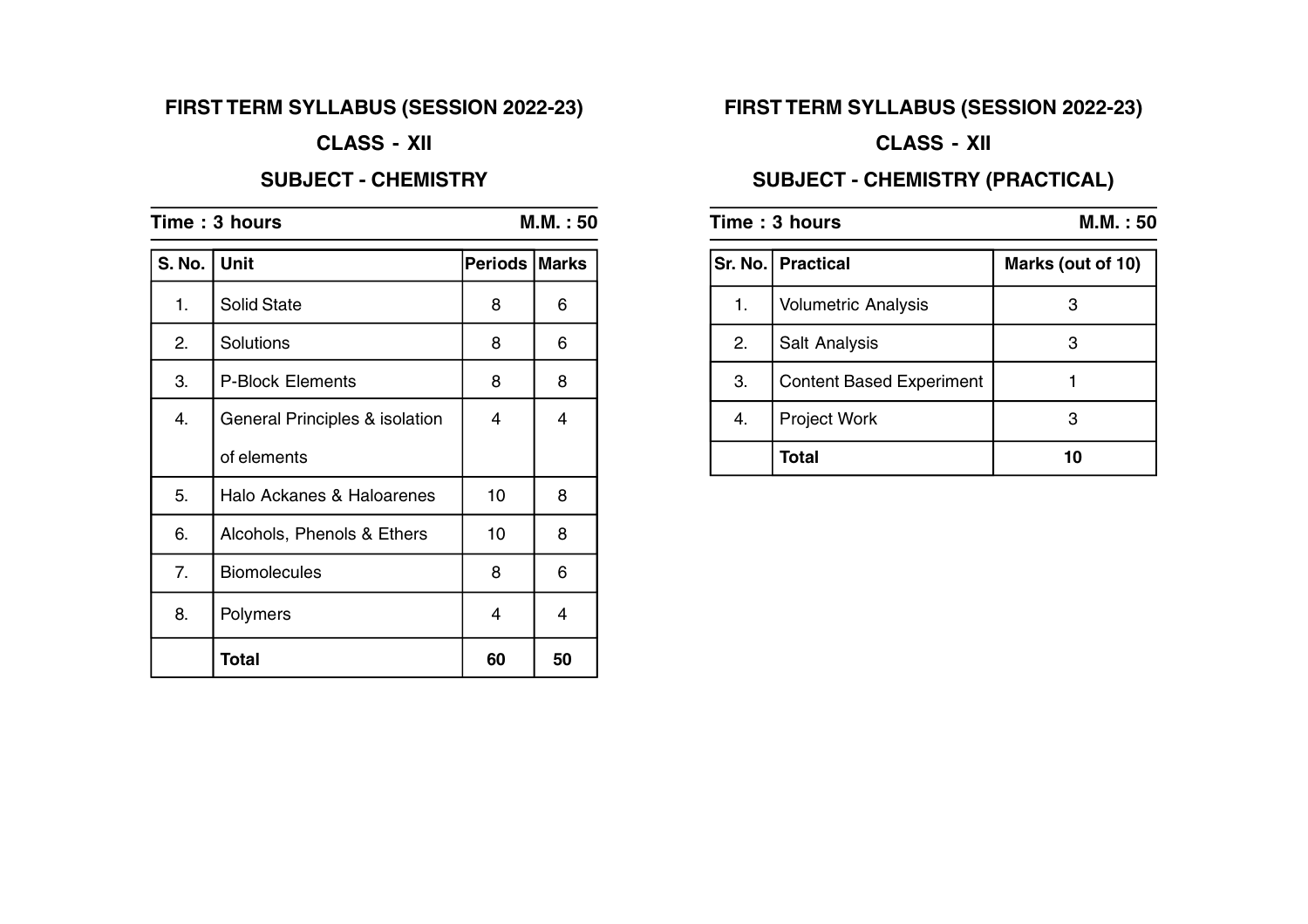# **FIRST TERM SYLLABUS (SESSION 2022-23)**

## **CLASS - XII**

#### **SUBJECT - CHEMISTRY**

| Time: 3 hours |                                | M.M. : 50      |              |
|---------------|--------------------------------|----------------|--------------|
| <b>S. No.</b> | <b>Unit</b>                    | <b>Periods</b> | <b>Marks</b> |
| 1.            | <b>Solid State</b>             | 8              | 6            |
| 2.            | Solutions                      | 8              | 6            |
| 3.            | <b>P-Block Elements</b>        | 8              | 8            |
| 4.            | General Principles & isolation | 4              | 4            |
|               | of elements                    |                |              |
| 5.            | Halo Ackanes & Haloarenes      | 10             | 8            |
| 6.            | Alcohols, Phenols & Ethers     | 10             | 8            |
| 7.            | <b>Biomolecules</b>            | 8              | 6            |
| 8.            | Polymers                       | 4              | 4            |
|               | Total                          | 60             | 50           |

# **FIRST TERM SYLLABUS (SESSION 2022-23)**

# **CLASS - XII**

# **SUBJECT - CHEMISTRY (PRACTICAL)**

| Time: 3 hours |                                 | M.M. : 50         |  |
|---------------|---------------------------------|-------------------|--|
|               | Sr. No.   Practical             | Marks (out of 10) |  |
| 1.            | <b>Volumetric Analysis</b>      | З                 |  |
| 2.            | Salt Analysis                   | 3                 |  |
| 3.            | <b>Content Based Experiment</b> |                   |  |
| 4.            | Project Work                    | 3                 |  |
|               | Total                           | 10                |  |